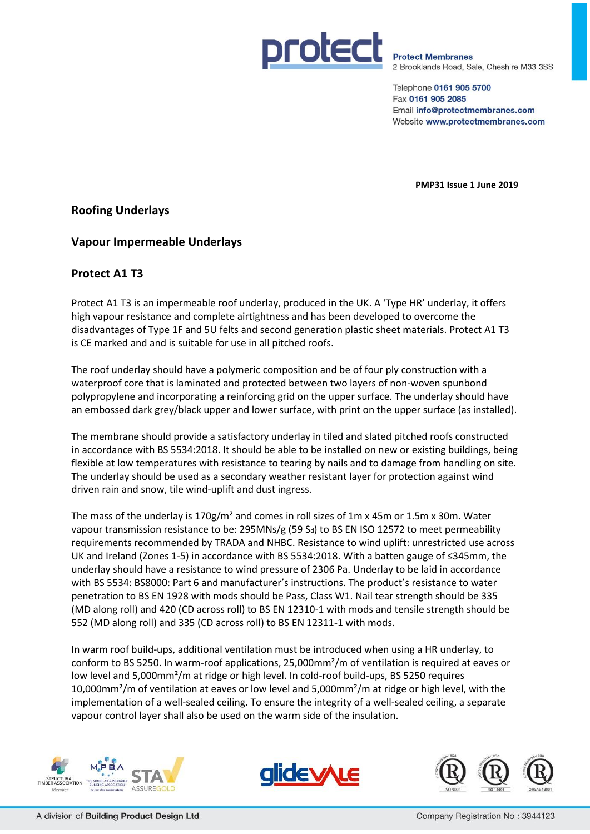

**Protect Membranes** 2 Brooklands Road, Sale, Cheshire M33 3SS

Telephone 0161 905 5700 Fax 0161 905 2085 Email info@protectmembranes.com Website www.protectmembranes.com

**PMP31 Issue 1 June 2019**

# **Roofing Underlays**

### **Vapour Impermeable Underlays**

# **Protect A1 T3**

Protect A1 T3 is an impermeable roof underlay, produced in the UK. A 'Type HR' underlay, it offers high vapour resistance and complete airtightness and has been developed to overcome the disadvantages of Type 1F and 5U felts and second generation plastic sheet materials. Protect A1 T3 is CE marked and and is suitable for use in all pitched roofs.

The roof underlay should have a polymeric composition and be of four ply construction with a waterproof core that is laminated and protected between two layers of non-woven spunbond polypropylene and incorporating a reinforcing grid on the upper surface. The underlay should have an embossed dark grey/black upper and lower surface, with print on the upper surface (as installed).

The membrane should provide a satisfactory underlay in tiled and slated pitched roofs constructed in accordance with BS 5534:2018. It should be able to be installed on new or existing buildings, being flexible at low temperatures with resistance to tearing by nails and to damage from handling on site. The underlay should be used as a secondary weather resistant layer for protection against wind driven rain and snow, tile wind-uplift and dust ingress.

The mass of the underlay is  $170g/m<sup>2</sup>$  and comes in roll sizes of 1m x 45m or 1.5m x 30m. Water vapour transmission resistance to be: 295MNs/g (59 Sd) to BS EN ISO 12572 to meet permeability requirements recommended by TRADA and NHBC. Resistance to wind uplift: unrestricted use across UK and Ireland (Zones 1-5) in accordance with BS 5534:2018. With a batten gauge of ≤345mm, the underlay should have a resistance to wind pressure of 2306 Pa. Underlay to be laid in accordance with BS 5534: BS8000: Part 6 and manufacturer's instructions. The product's resistance to water penetration to BS EN 1928 with mods should be Pass, Class W1. Nail tear strength should be 335 (MD along roll) and 420 (CD across roll) to BS EN 12310-1 with mods and tensile strength should be 552 (MD along roll) and 335 (CD across roll) to BS EN 12311-1 with mods.

In warm roof build-ups, additional ventilation must be introduced when using a HR underlay, to conform to BS 5250. In warm-roof applications, 25,000mm²/m of ventilation is required at eaves or low level and 5,000mm<sup>2</sup>/m at ridge or high level. In cold-roof build-ups, BS 5250 requires 10,000mm²/m of ventilation at eaves or low level and 5,000mm²/m at ridge or high level, with the implementation of a well-sealed ceiling. To ensure the integrity of a well-sealed ceiling, a separate vapour control layer shall also be used on the warm side of the insulation.